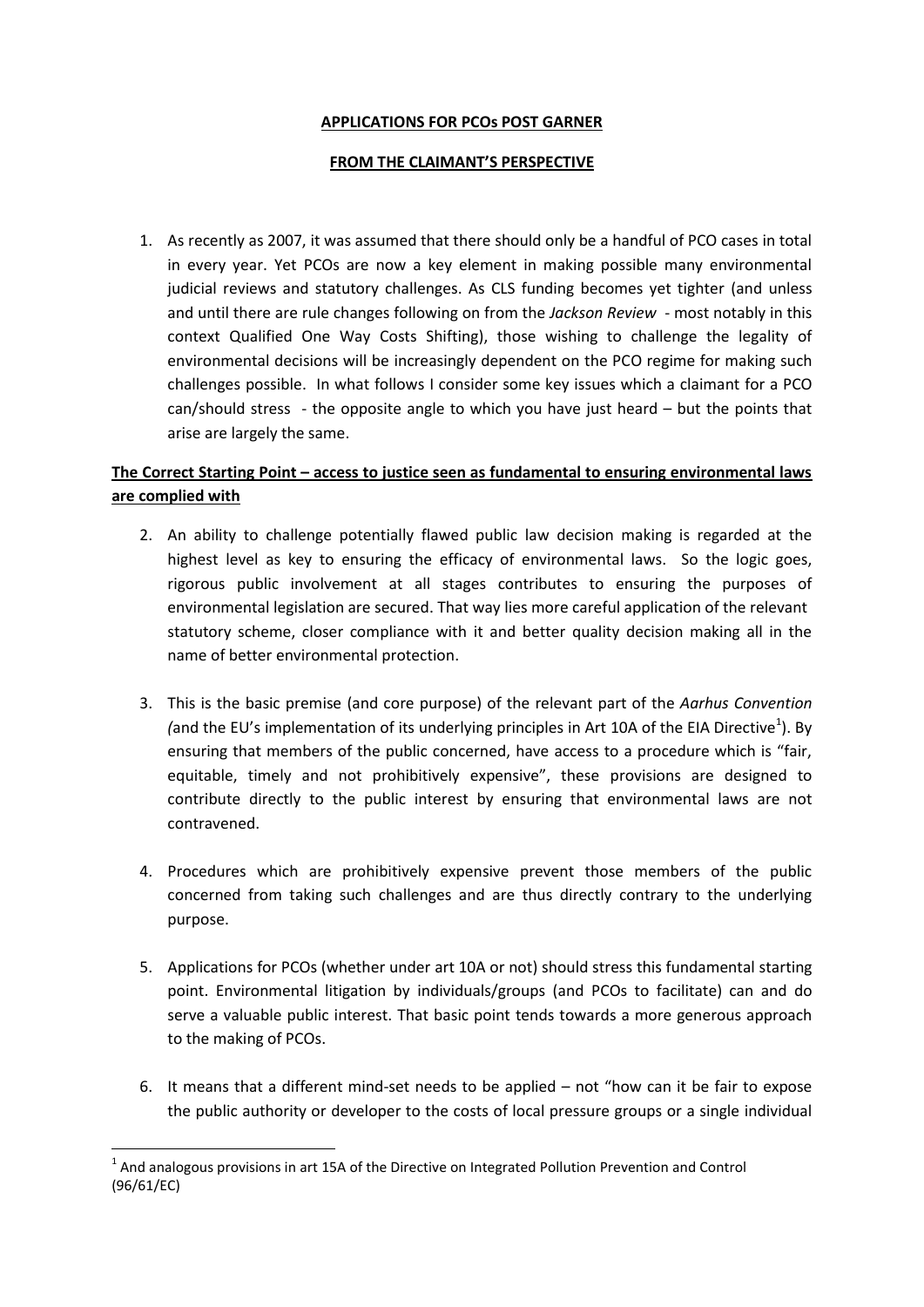#### **APPLICATIONS FOR PCOs POST GARNER**

#### **FROM THE CLAIMANT'S PERSPECTIVE**

1. As recently as 2007, it was assumed that there should only be a handful of PCO cases in total in every year. Yet PCOs are now a key element in making possible many environmental judicial reviews and statutory challenges. As CLS funding becomes yet tighter (and unless and until there are rule changes following on from the *Jackson Review* - most notably in this context Qualified One Way Costs Shifting), those wishing to challenge the legality of environmental decisions will be increasingly dependent on the PCO regime for making such challenges possible. In what follows I consider some key issues which a claimant for a PCO can/should stress - the opposite angle to which you have just heard – but the points that arise are largely the same.

# **The Correct Starting Point – access to justice seen as fundamental to ensuring environmental laws are complied with**

- 2. An ability to challenge potentially flawed public law decision making is regarded at the highest level as key to ensuring the efficacy of environmental laws. So the logic goes, rigorous public involvement at all stages contributes to ensuring the purposes of environmental legislation are secured. That way lies more careful application of the relevant statutory scheme, closer compliance with it and better quality decision making all in the name of better environmental protection.
- 3. This is the basic premise (and core purpose) of the relevant part of the *Aarhus Convention*  (and the EU's implementation of its underlying principles in Art 10A of the EIA Directive<sup>1</sup>). By ensuring that members of the public concerned, have access to a procedure which is "fair, equitable, timely and not prohibitively expensive", these provisions are designed to contribute directly to the public interest by ensuring that environmental laws are not contravened.
- 4. Procedures which are prohibitively expensive prevent those members of the public concerned from taking such challenges and are thus directly contrary to the underlying purpose.
- 5. Applications for PCOs (whether under art 10A or not) should stress this fundamental starting point. Environmental litigation by individuals/groups (and PCOs to facilitate) can and do serve a valuable public interest. That basic point tends towards a more generous approach to the making of PCOs.
- 6. It means that a different mind-set needs to be applied not "how can it be fair to expose the public authority or developer to the costs of local pressure groups or a single individual

**<sup>.</sup>**  $1$  And analogous provisions in art 15A of the Directive on Integrated Pollution Prevention and Control (96/61/EC)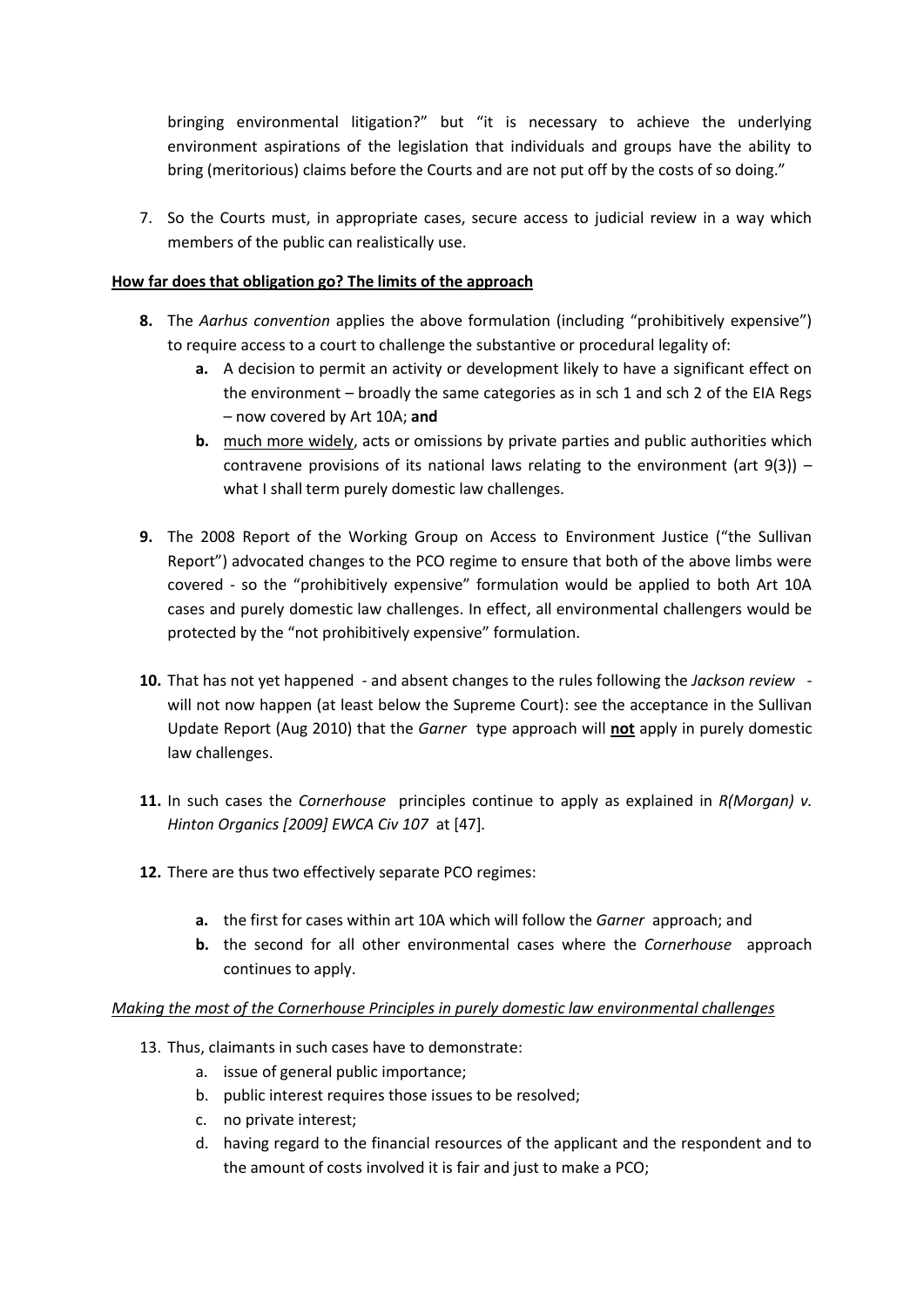bringing environmental litigation?" but "it is necessary to achieve the underlying environment aspirations of the legislation that individuals and groups have the ability to bring (meritorious) claims before the Courts and are not put off by the costs of so doing."

7. So the Courts must, in appropriate cases, secure access to judicial review in a way which members of the public can realistically use.

## **How far does that obligation go? The limits of the approach**

- **8.** The *Aarhus convention* applies the above formulation (including "prohibitively expensive") to require access to a court to challenge the substantive or procedural legality of:
	- **a.** A decision to permit an activity or development likely to have a significant effect on the environment – broadly the same categories as in sch 1 and sch 2 of the EIA Regs – now covered by Art 10A; **and**
	- **b.** much more widely, acts or omissions by private parties and public authorities which contravene provisions of its national laws relating to the environment (art  $9(3)$ ) – what I shall term purely domestic law challenges.
- **9.** The 2008 Report of the Working Group on Access to Environment Justice ("the Sullivan Report") advocated changes to the PCO regime to ensure that both of the above limbs were covered - so the "prohibitively expensive" formulation would be applied to both Art 10A cases and purely domestic law challenges. In effect, all environmental challengers would be protected by the "not prohibitively expensive" formulation.
- **10.** That has not yet happened and absent changes to the rules following the *Jackson review*  will not now happen (at least below the Supreme Court): see the acceptance in the Sullivan Update Report (Aug 2010) that the *Garner* type approach will **not** apply in purely domestic law challenges.
- **11.** In such cases the *Cornerhouse* principles continue to apply as explained in *R(Morgan) v. Hinton Organics [2009] EWCA Civ 107* at [47]*.*
- **12.** There are thus two effectively separate PCO regimes:
	- **a.** the first for cases within art 10A which will follow the *Garner* approach; and
	- **b.** the second for all other environmental cases where the *Cornerhouse* approach continues to apply.

# *Making the most of the Cornerhouse Principles in purely domestic law environmental challenges*

- 13. Thus, claimants in such cases have to demonstrate:
	- a. issue of general public importance;
	- b. public interest requires those issues to be resolved;
	- c. no private interest;
	- d. having regard to the financial resources of the applicant and the respondent and to the amount of costs involved it is fair and just to make a PCO;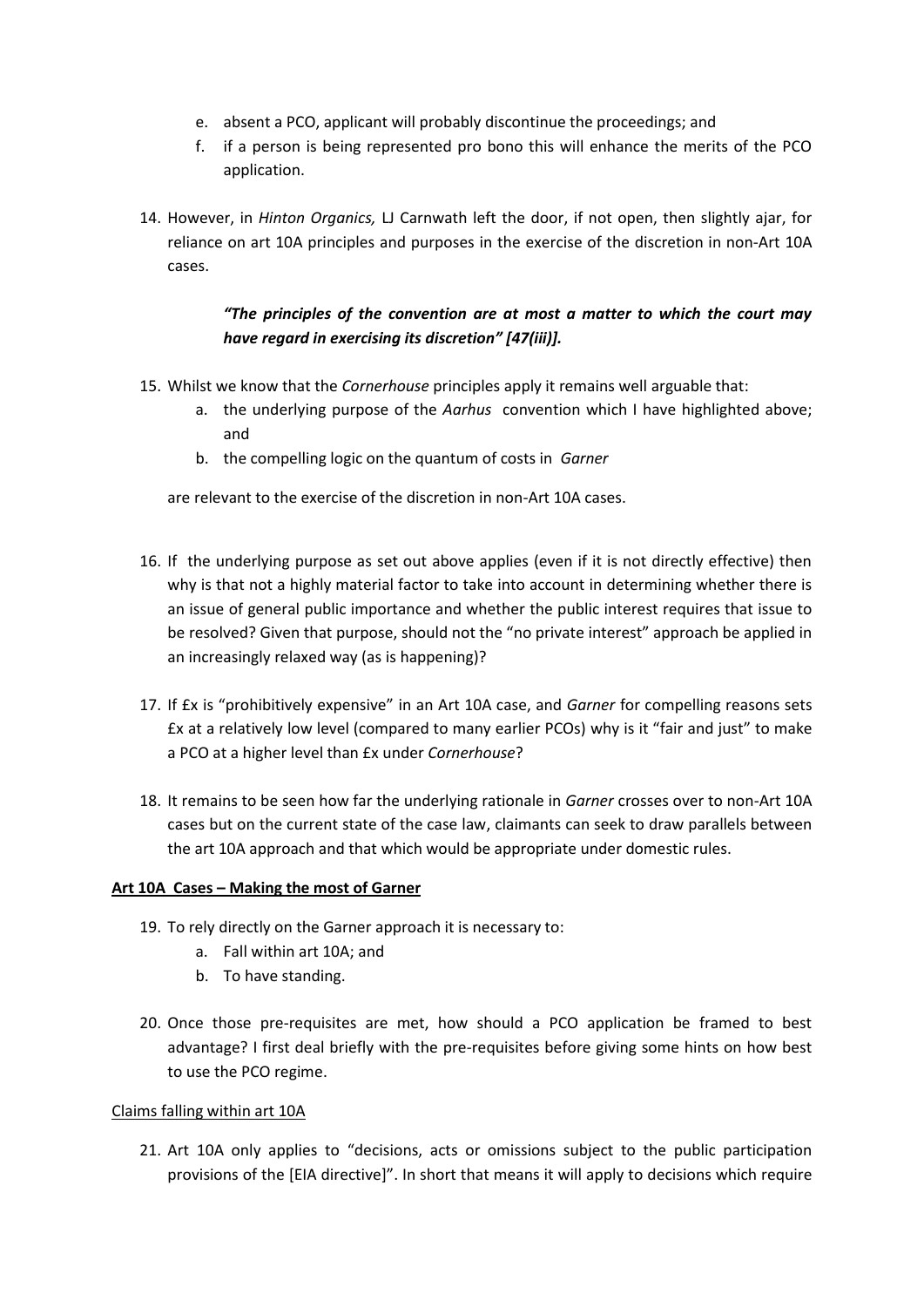- e. absent a PCO, applicant will probably discontinue the proceedings; and
- f. if a person is being represented pro bono this will enhance the merits of the PCO application.
- 14. However, in *Hinton Organics,* LJ Carnwath left the door, if not open, then slightly ajar, for reliance on art 10A principles and purposes in the exercise of the discretion in non-Art 10A cases.

# *"The principles of the convention are at most a matter to which the court may have regard in exercising its discretion" [47(iii)].*

- 15. Whilst we know that the *Cornerhouse* principles apply it remains well arguable that:
	- a. the underlying purpose of the *Aarhus* convention which I have highlighted above; and
	- b. the compelling logic on the quantum of costs in *Garner*

are relevant to the exercise of the discretion in non-Art 10A cases.

- 16. If the underlying purpose as set out above applies (even if it is not directly effective) then why is that not a highly material factor to take into account in determining whether there is an issue of general public importance and whether the public interest requires that issue to be resolved? Given that purpose, should not the "no private interest" approach be applied in an increasingly relaxed way (as is happening)?
- 17. If £x is "prohibitively expensive" in an Art 10A case, and *Garner* for compelling reasons sets £x at a relatively low level (compared to many earlier PCOs) why is it "fair and just" to make a PCO at a higher level than £x under *Cornerhouse*?
- 18. It remains to be seen how far the underlying rationale in *Garner* crosses over to non-Art 10A cases but on the current state of the case law, claimants can seek to draw parallels between the art 10A approach and that which would be appropriate under domestic rules.

#### **Art 10A Cases – Making the most of Garner**

- 19. To rely directly on the Garner approach it is necessary to:
	- a. Fall within art 10A; and
	- b. To have standing.
- 20. Once those pre-requisites are met, how should a PCO application be framed to best advantage? I first deal briefly with the pre-requisites before giving some hints on how best to use the PCO regime.

#### Claims falling within art 10A

21. Art 10A only applies to "decisions, acts or omissions subject to the public participation provisions of the [EIA directive]". In short that means it will apply to decisions which require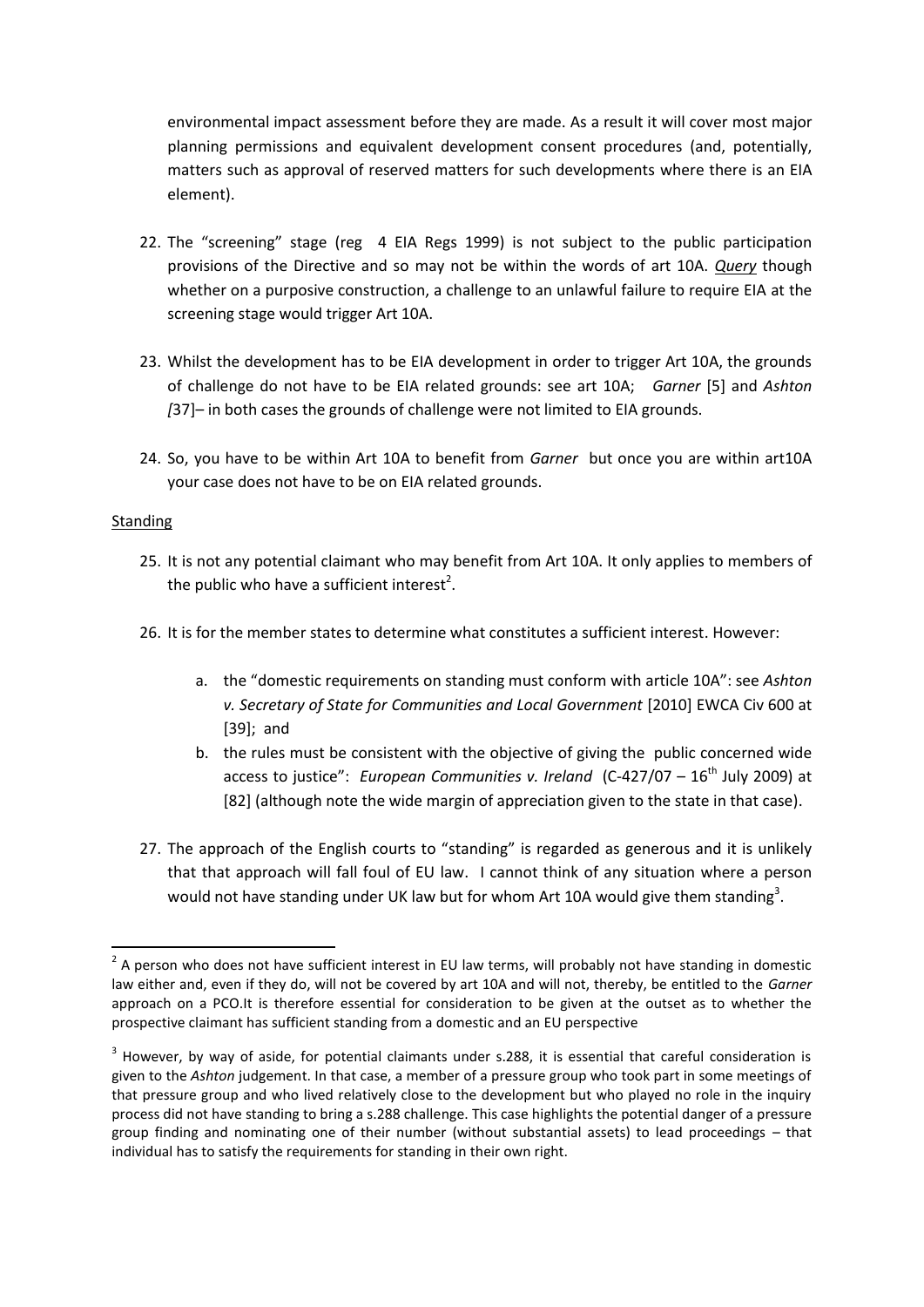environmental impact assessment before they are made. As a result it will cover most major planning permissions and equivalent development consent procedures (and, potentially, matters such as approval of reserved matters for such developments where there is an EIA element).

- 22. The "screening" stage (reg 4 EIA Regs 1999) is not subject to the public participation provisions of the Directive and so may not be within the words of art 10A. *Query* though whether on a purposive construction, a challenge to an unlawful failure to require EIA at the screening stage would trigger Art 10A.
- 23. Whilst the development has to be EIA development in order to trigger Art 10A, the grounds of challenge do not have to be EIA related grounds: see art 10A; *Garner* [5] and *Ashton [*37]– in both cases the grounds of challenge were not limited to EIA grounds.
- 24. So, you have to be within Art 10A to benefit from *Garner* but once you are within art10A your case does not have to be on EIA related grounds.

## **Standing**

- 25. It is not any potential claimant who may benefit from Art 10A. It only applies to members of the public who have a sufficient interest<sup>2</sup>.
- 26. It is for the member states to determine what constitutes a sufficient interest. However:
	- a. the "domestic requirements on standing must conform with article 10A": see *Ashton v. Secretary of State for Communities and Local Government* [2010] EWCA Civ 600 at [39]; and
	- b. the rules must be consistent with the objective of giving the public concerned wide access to justice": *European Communities v. Ireland* (C-427/07 – 16<sup>th</sup> July 2009) at [82] (although note the wide margin of appreciation given to the state in that case).
- 27. The approach of the English courts to "standing" is regarded as generous and it is unlikely that that approach will fall foul of EU law. I cannot think of any situation where a person would not have standing under UK law but for whom Art 10A would give them standing<sup>3</sup>.

**<sup>.</sup>**  $2$  A person who does not have sufficient interest in EU law terms, will probably not have standing in domestic law either and, even if they do, will not be covered by art 10A and will not, thereby, be entitled to the *Garner*  approach on a PCO.It is therefore essential for consideration to be given at the outset as to whether the prospective claimant has sufficient standing from a domestic and an EU perspective

 $3$  However, by way of aside, for potential claimants under s.288, it is essential that careful consideration is given to the *Ashton* judgement. In that case, a member of a pressure group who took part in some meetings of that pressure group and who lived relatively close to the development but who played no role in the inquiry process did not have standing to bring a s.288 challenge. This case highlights the potential danger of a pressure group finding and nominating one of their number (without substantial assets) to lead proceedings – that individual has to satisfy the requirements for standing in their own right.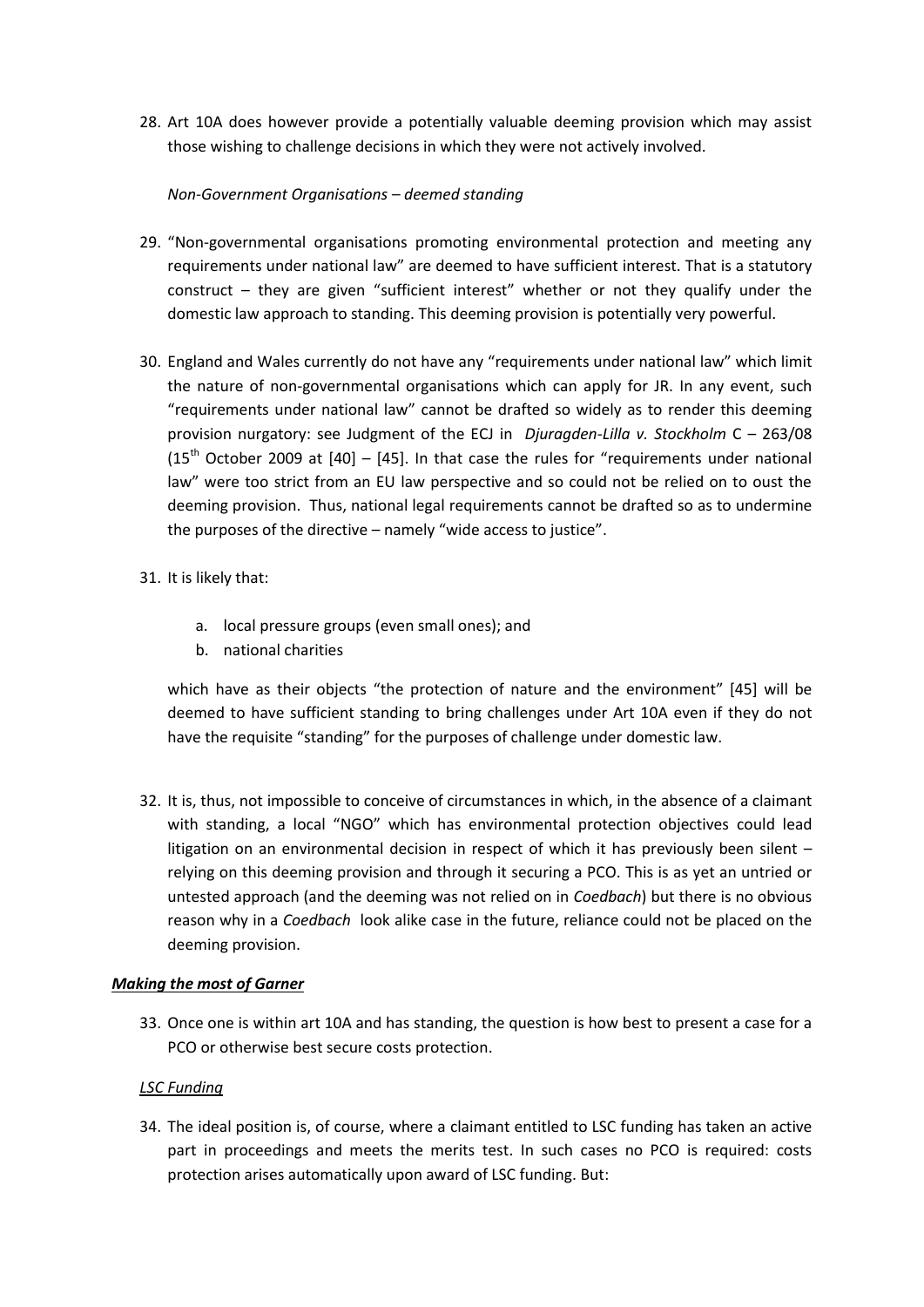28. Art 10A does however provide a potentially valuable deeming provision which may assist those wishing to challenge decisions in which they were not actively involved.

## *Non-Government Organisations – deemed standing*

- 29. "Non-governmental organisations promoting environmental protection and meeting any requirements under national law" are deemed to have sufficient interest. That is a statutory construct – they are given "sufficient interest" whether or not they qualify under the domestic law approach to standing. This deeming provision is potentially very powerful.
- 30. England and Wales currently do not have any "requirements under national law" which limit the nature of non-governmental organisations which can apply for JR. In any event, such "requirements under national law" cannot be drafted so widely as to render this deeming provision nurgatory: see Judgment of the ECJ in *Djuragden-Lilla v. Stockholm* C – 263/08  $(15<sup>th</sup>$  October 2009 at  $[40]$  –  $[45]$ . In that case the rules for "requirements under national law" were too strict from an EU law perspective and so could not be relied on to oust the deeming provision. Thus, national legal requirements cannot be drafted so as to undermine the purposes of the directive – namely "wide access to justice".
- 31. It is likely that:
	- a. local pressure groups (even small ones); and
	- b. national charities

which have as their objects "the protection of nature and the environment" [45] will be deemed to have sufficient standing to bring challenges under Art 10A even if they do not have the requisite "standing" for the purposes of challenge under domestic law.

32. It is, thus, not impossible to conceive of circumstances in which, in the absence of a claimant with standing, a local "NGO" which has environmental protection objectives could lead litigation on an environmental decision in respect of which it has previously been silent – relying on this deeming provision and through it securing a PCO. This is as yet an untried or untested approach (and the deeming was not relied on in *Coedbach*) but there is no obvious reason why in a *Coedbach* look alike case in the future, reliance could not be placed on the deeming provision.

#### *Making the most of Garner*

33. Once one is within art 10A and has standing, the question is how best to present a case for a PCO or otherwise best secure costs protection.

#### *LSC Funding*

34. The ideal position is, of course, where a claimant entitled to LSC funding has taken an active part in proceedings and meets the merits test. In such cases no PCO is required: costs protection arises automatically upon award of LSC funding. But: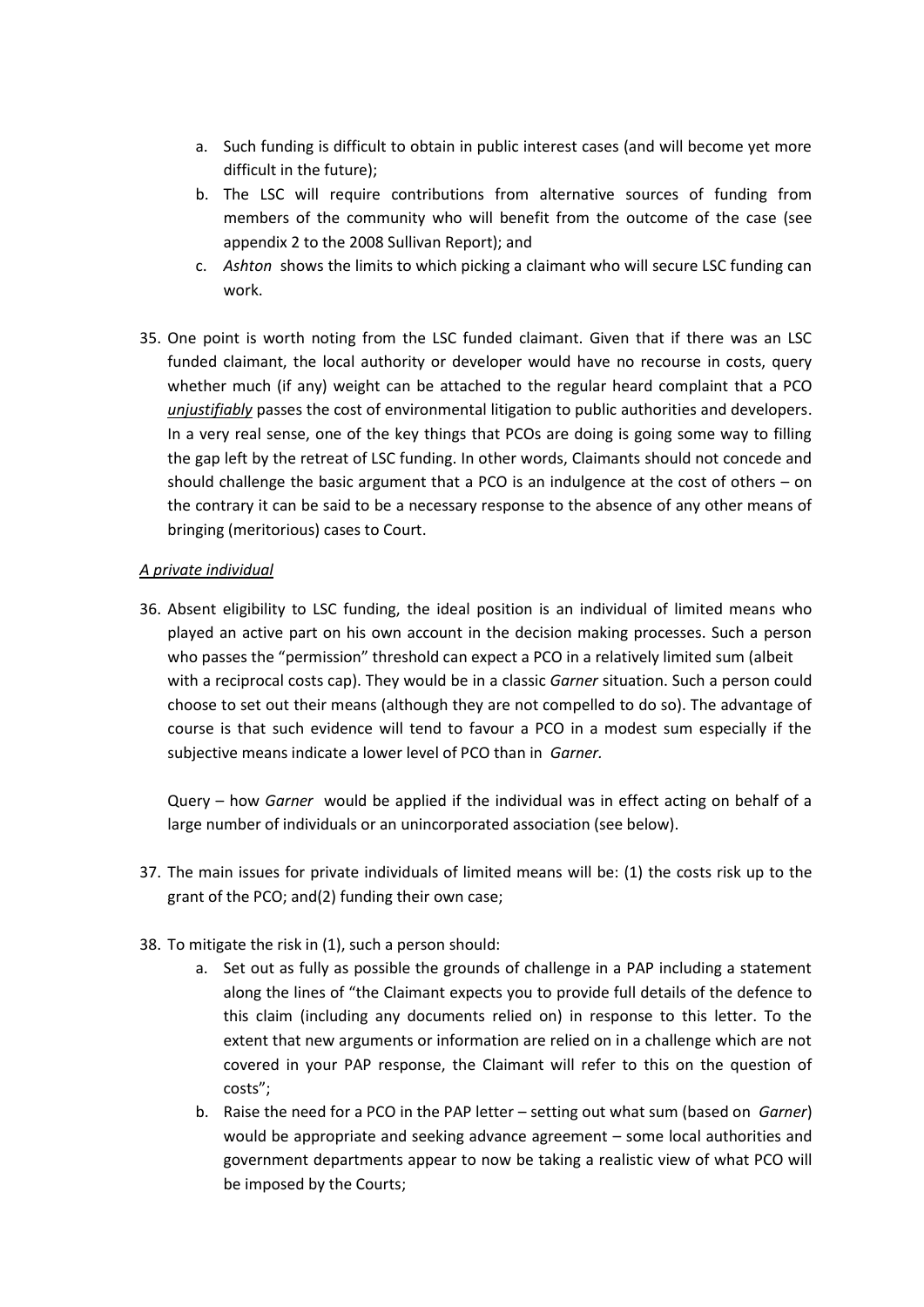- a. Such funding is difficult to obtain in public interest cases (and will become yet more difficult in the future);
- b. The LSC will require contributions from alternative sources of funding from members of the community who will benefit from the outcome of the case (see appendix 2 to the 2008 Sullivan Report); and
- c. *Ashton* shows the limits to which picking a claimant who will secure LSC funding can work.
- 35. One point is worth noting from the LSC funded claimant. Given that if there was an LSC funded claimant, the local authority or developer would have no recourse in costs, query whether much (if any) weight can be attached to the regular heard complaint that a PCO *unjustifiably* passes the cost of environmental litigation to public authorities and developers. In a very real sense, one of the key things that PCOs are doing is going some way to filling the gap left by the retreat of LSC funding. In other words, Claimants should not concede and should challenge the basic argument that a PCO is an indulgence at the cost of others – on the contrary it can be said to be a necessary response to the absence of any other means of bringing (meritorious) cases to Court.

## *A private individual*

36. Absent eligibility to LSC funding, the ideal position is an individual of limited means who played an active part on his own account in the decision making processes. Such a person who passes the "permission" threshold can expect a PCO in a relatively limited sum (albeit with a reciprocal costs cap). They would be in a classic *Garner* situation. Such a person could choose to set out their means (although they are not compelled to do so). The advantage of course is that such evidence will tend to favour a PCO in a modest sum especially if the subjective means indicate a lower level of PCO than in *Garner.*

Query – how *Garner* would be applied if the individual was in effect acting on behalf of a large number of individuals or an unincorporated association (see below).

- 37. The main issues for private individuals of limited means will be: (1) the costs risk up to the grant of the PCO; and(2) funding their own case;
- 38. To mitigate the risk in (1), such a person should:
	- a. Set out as fully as possible the grounds of challenge in a PAP including a statement along the lines of "the Claimant expects you to provide full details of the defence to this claim (including any documents relied on) in response to this letter. To the extent that new arguments or information are relied on in a challenge which are not covered in your PAP response, the Claimant will refer to this on the question of costs";
	- b. Raise the need for a PCO in the PAP letter setting out what sum (based on *Garner*) would be appropriate and seeking advance agreement – some local authorities and government departments appear to now be taking a realistic view of what PCO will be imposed by the Courts;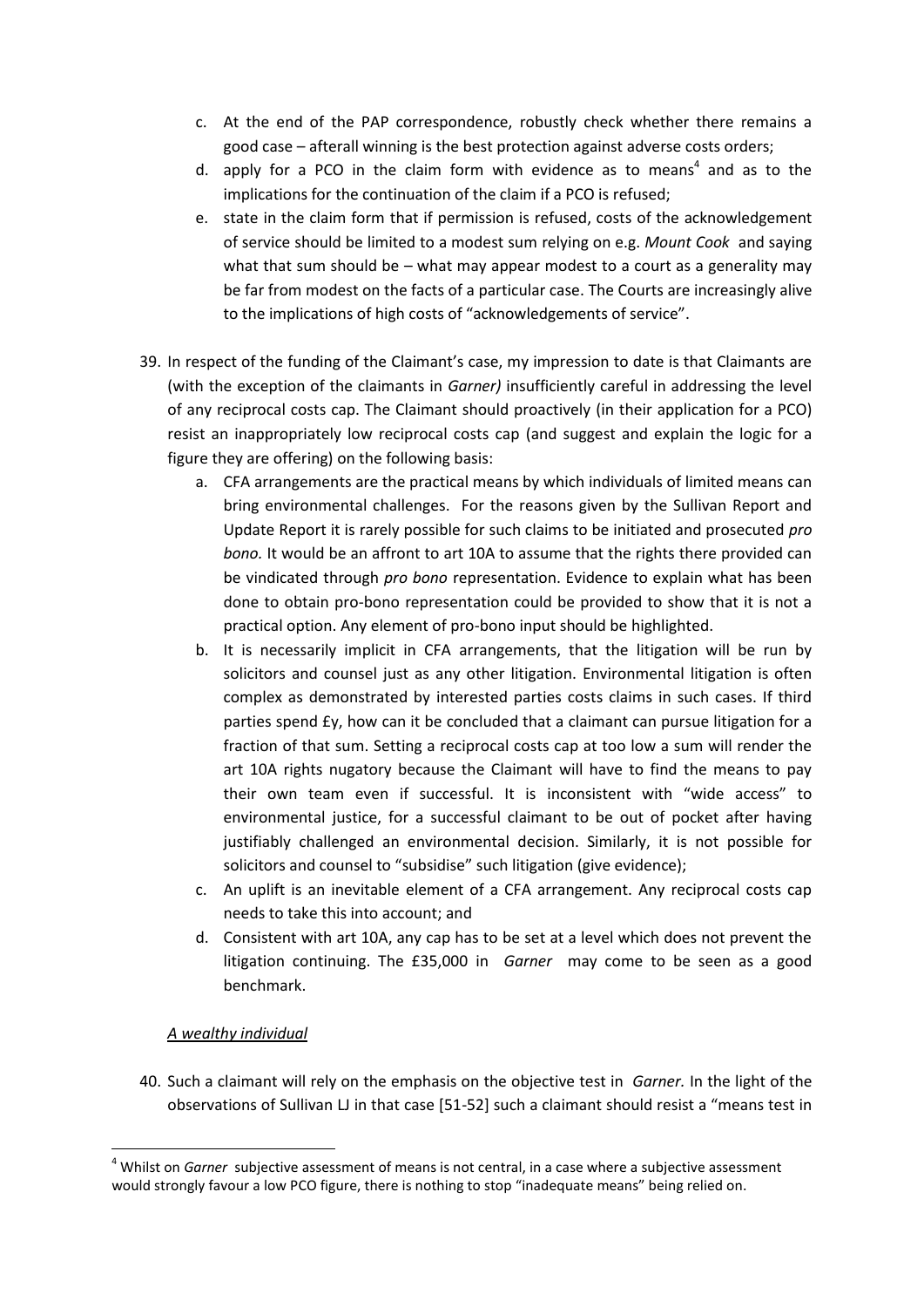- c. At the end of the PAP correspondence, robustly check whether there remains a good case – afterall winning is the best protection against adverse costs orders;
- d. apply for a PCO in the claim form with evidence as to means<sup>4</sup> and as to the implications for the continuation of the claim if a PCO is refused;
- e. state in the claim form that if permission is refused, costs of the acknowledgement of service should be limited to a modest sum relying on e.g. *Mount Cook* and saying what that sum should be – what may appear modest to a court as a generality may be far from modest on the facts of a particular case. The Courts are increasingly alive to the implications of high costs of "acknowledgements of service".
- 39. In respect of the funding of the Claimant's case, my impression to date is that Claimants are (with the exception of the claimants in *Garner)* insufficiently careful in addressing the level of any reciprocal costs cap. The Claimant should proactively (in their application for a PCO) resist an inappropriately low reciprocal costs cap (and suggest and explain the logic for a figure they are offering) on the following basis:
	- a. CFA arrangements are the practical means by which individuals of limited means can bring environmental challenges. For the reasons given by the Sullivan Report and Update Report it is rarely possible for such claims to be initiated and prosecuted *pro bono.* It would be an affront to art 10A to assume that the rights there provided can be vindicated through *pro bono* representation. Evidence to explain what has been done to obtain pro-bono representation could be provided to show that it is not a practical option. Any element of pro-bono input should be highlighted.
	- b. It is necessarily implicit in CFA arrangements, that the litigation will be run by solicitors and counsel just as any other litigation. Environmental litigation is often complex as demonstrated by interested parties costs claims in such cases. If third parties spend £y, how can it be concluded that a claimant can pursue litigation for a fraction of that sum. Setting a reciprocal costs cap at too low a sum will render the art 10A rights nugatory because the Claimant will have to find the means to pay their own team even if successful. It is inconsistent with "wide access" to environmental justice, for a successful claimant to be out of pocket after having justifiably challenged an environmental decision. Similarly, it is not possible for solicitors and counsel to "subsidise" such litigation (give evidence);
	- c. An uplift is an inevitable element of a CFA arrangement. Any reciprocal costs cap needs to take this into account; and
	- d. Consistent with art 10A, any cap has to be set at a level which does not prevent the litigation continuing. The £35,000 in *Garner* may come to be seen as a good benchmark.

# *A wealthy individual*

**.** 

40. Such a claimant will rely on the emphasis on the objective test in *Garner.* In the light of the observations of Sullivan LJ in that case [51-52] such a claimant should resist a "means test in

<sup>4</sup> Whilst on *Garner* subjective assessment of means is not central, in a case where a subjective assessment would strongly favour a low PCO figure, there is nothing to stop "inadequate means" being relied on.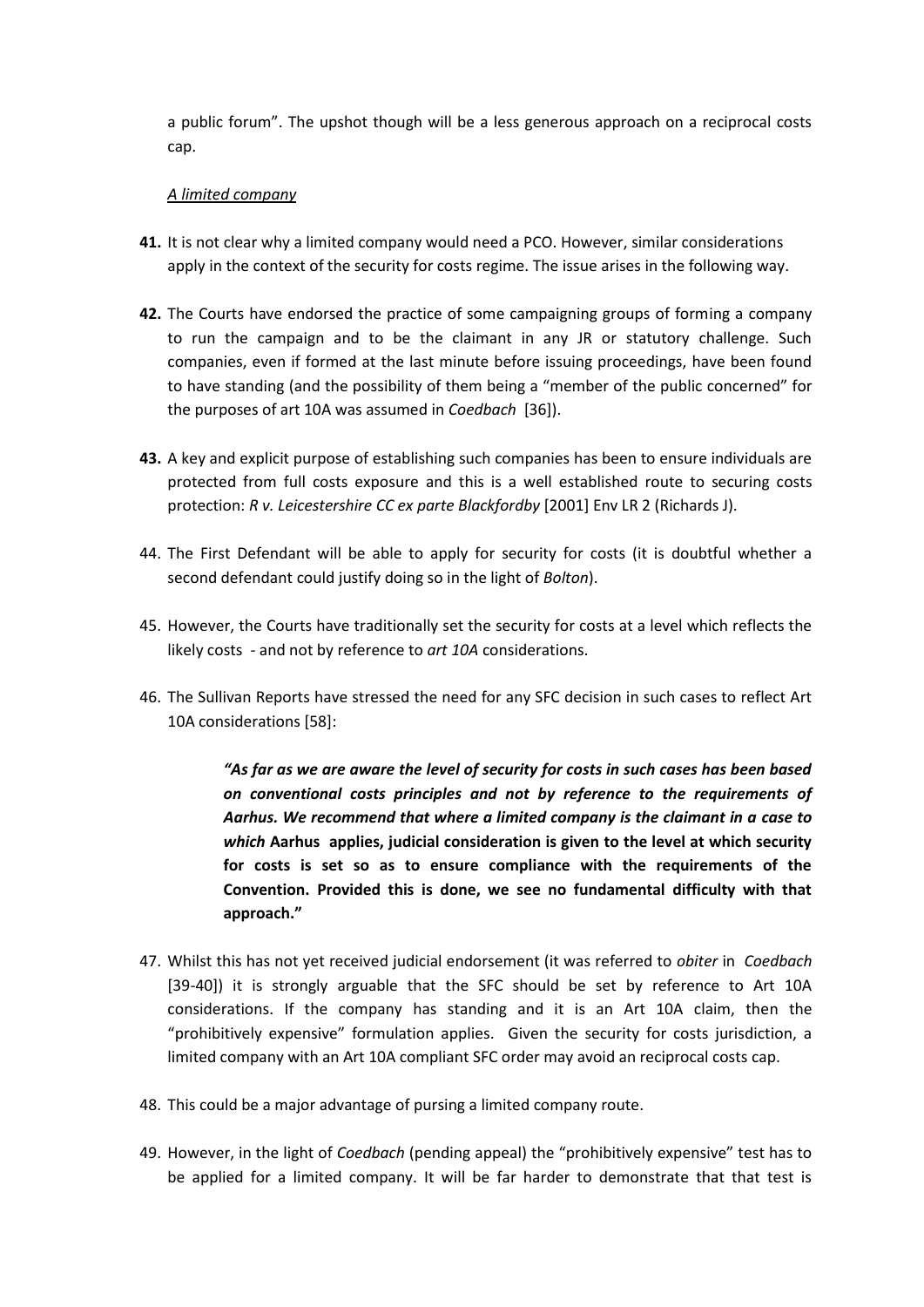a public forum". The upshot though will be a less generous approach on a reciprocal costs cap.

## *A limited company*

- **41.** It is not clear why a limited company would need a PCO. However, similar considerations apply in the context of the security for costs regime. The issue arises in the following way.
- **42.** The Courts have endorsed the practice of some campaigning groups of forming a company to run the campaign and to be the claimant in any JR or statutory challenge. Such companies, even if formed at the last minute before issuing proceedings, have been found to have standing (and the possibility of them being a "member of the public concerned" for the purposes of art 10A was assumed in *Coedbach* [36]).
- **43.** A key and explicit purpose of establishing such companies has been to ensure individuals are protected from full costs exposure and this is a well established route to securing costs protection: *R v. Leicestershire CC ex parte Blackfordby* [2001] Env LR 2 (Richards J).
- 44. The First Defendant will be able to apply for security for costs (it is doubtful whether a second defendant could justify doing so in the light of *Bolton*).
- 45. However, the Courts have traditionally set the security for costs at a level which reflects the likely costs - and not by reference to *art 10A* considerations.
- 46. The Sullivan Reports have stressed the need for any SFC decision in such cases to reflect Art 10A considerations [58]:

*"As far as we are aware the level of security for costs in such cases has been based on conventional costs principles and not by reference to the requirements of Aarhus. We recommend that where a limited company is the claimant in a case to which* **Aarhus applies, judicial consideration is given to the level at which security for costs is set so as to ensure compliance with the requirements of the Convention. Provided this is done, we see no fundamental difficulty with that approach."**

- 47. Whilst this has not yet received judicial endorsement (it was referred to *obiter* in *Coedbach*  [39-40]) it is strongly arguable that the SFC should be set by reference to Art 10A considerations. If the company has standing and it is an Art 10A claim, then the "prohibitively expensive" formulation applies. Given the security for costs jurisdiction, a limited company with an Art 10A compliant SFC order may avoid an reciprocal costs cap.
- 48. This could be a major advantage of pursing a limited company route.
- 49. However, in the light of *Coedbach* (pending appeal) the "prohibitively expensive" test has to be applied for a limited company. It will be far harder to demonstrate that that test is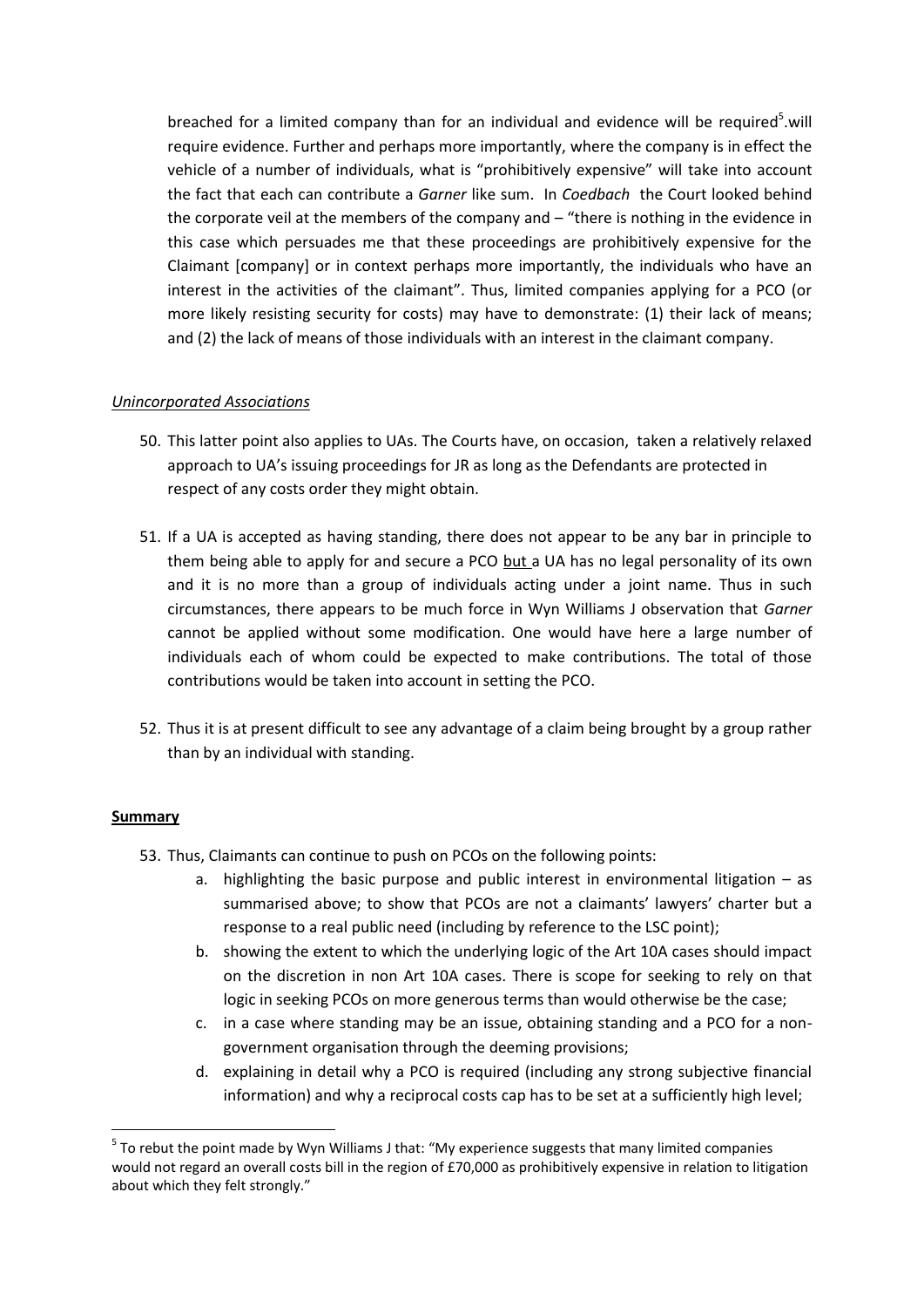breached for a limited company than for an individual and evidence will be required<sup>5</sup>.will require evidence. Further and perhaps more importantly, where the company is in effect the vehicle of a number of individuals, what is "prohibitively expensive" will take into account the fact that each can contribute a *Garner* like sum. In *Coedbach* the Court looked behind the corporate veil at the members of the company and – "there is nothing in the evidence in this case which persuades me that these proceedings are prohibitively expensive for the Claimant [company] or in context perhaps more importantly, the individuals who have an interest in the activities of the claimant". Thus, limited companies applying for a PCO (or more likely resisting security for costs) may have to demonstrate: (1) their lack of means; and (2) the lack of means of those individuals with an interest in the claimant company.

# *Unincorporated Associations*

- 50. This latter point also applies to UAs. The Courts have, on occasion, taken a relatively relaxed approach to UA's issuing proceedings for JR as long as the Defendants are protected in respect of any costs order they might obtain.
- 51. If a UA is accepted as having standing, there does not appear to be any bar in principle to them being able to apply for and secure a PCO but a UA has no legal personality of its own and it is no more than a group of individuals acting under a joint name. Thus in such circumstances, there appears to be much force in Wyn Williams J observation that *Garner*  cannot be applied without some modification. One would have here a large number of individuals each of whom could be expected to make contributions. The total of those contributions would be taken into account in setting the PCO.
- 52. Thus it is at present difficult to see any advantage of a claim being brought by a group rather than by an individual with standing.

#### **Summary**

**.** 

- 53. Thus, Claimants can continue to push on PCOs on the following points:
	- a. highlighting the basic purpose and public interest in environmental litigation as summarised above; to show that PCOs are not a claimants' lawyers' charter but a response to a real public need (including by reference to the LSC point);
	- b. showing the extent to which the underlying logic of the Art 10A cases should impact on the discretion in non Art 10A cases. There is scope for seeking to rely on that logic in seeking PCOs on more generous terms than would otherwise be the case;
	- c. in a case where standing may be an issue, obtaining standing and a PCO for a nongovernment organisation through the deeming provisions;
	- d. explaining in detail why a PCO is required (including any strong subjective financial information) and why a reciprocal costs cap has to be set at a sufficiently high level;

 $5$  To rebut the point made by Wyn Williams J that: "My experience suggests that many limited companies would not regard an overall costs bill in the region of £70,000 as prohibitively expensive in relation to litigation about which they felt strongly."